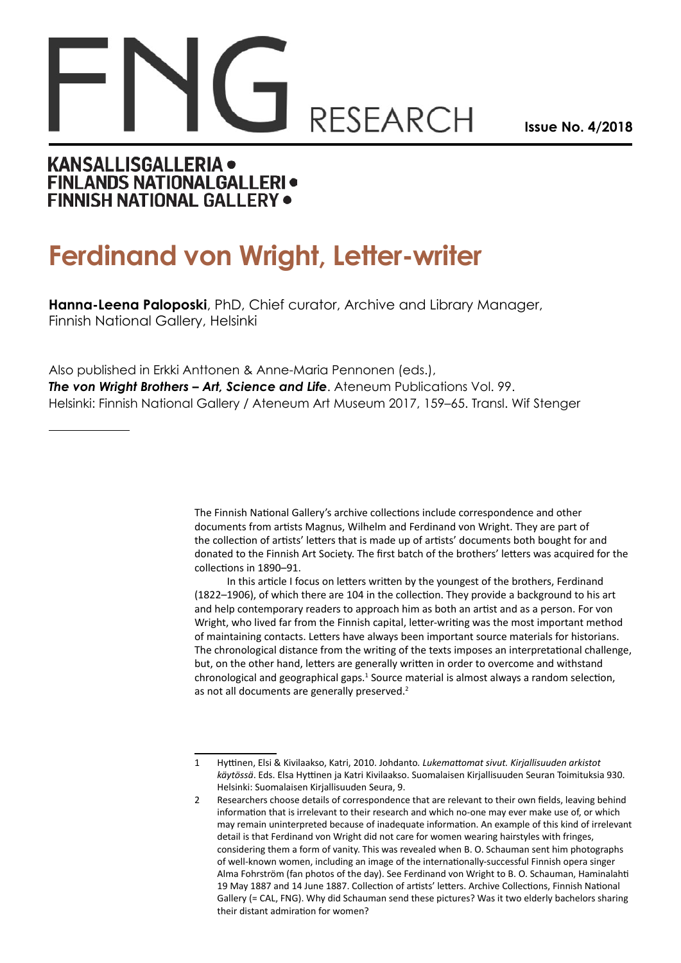# **RESEARCH**

**Issue No. 4/2018**

### **KANSALLISGALLERIA . FINLANDS NATIONALGALLERI · FINNISH NATIONAL GALLERY .**

## **Ferdinand von Wright, Letter-writer**

**Hanna-Leena Paloposki**, PhD, Chief curator, Archive and Library Manager, Finnish National Gallery, Helsinki

Also published in Erkki Anttonen & Anne-Maria Pennonen (eds.), *The von Wright Brothers – Art, Science and Life*. Ateneum Publications Vol. 99. Helsinki: Finnish National Gallery / Ateneum Art Museum 2017, 159–65. Transl. Wif Stenger

> The Finnish National Gallery's archive collections include correspondence and other documents from artists Magnus, Wilhelm and Ferdinand von Wright. They are part of the collection of artists' letters that is made up of artists' documents both bought for and donated to the Finnish Art Society. The first batch of the brothers' letters was acquired for the collections in 1890–91.

> In this article I focus on letters written by the youngest of the brothers, Ferdinand (1822–1906), of which there are 104 in the collection. They provide a background to his art and help contemporary readers to approach him as both an artist and as a person. For von Wright, who lived far from the Finnish capital, letter-writing was the most important method of maintaining contacts. Letters have always been important source materials for historians. The chronological distance from the writing of the texts imposes an interpretational challenge, but, on the other hand, letters are generally written in order to overcome and withstand chronological and geographical gaps.<sup>1</sup> Source material is almost always a random selection, as not all documents are generally preserved.<sup>2</sup>

<sup>1</sup> Hyttinen, Elsi & Kivilaakso, Katri, 2010. Johdanto*. Lukemattomat sivut. Kirjallisuuden arkistot käytössä*. Eds. Elsa Hyttinen ja Katri Kivilaakso. Suomalaisen Kirjallisuuden Seuran Toimituksia 930. Helsinki: Suomalaisen Kirjallisuuden Seura, 9.

<sup>2</sup> Researchers choose details of correspondence that are relevant to their own fields, leaving behind information that is irrelevant to their research and which no-one may ever make use of, or which may remain uninterpreted because of inadequate information. An example of this kind of irrelevant detail is that Ferdinand von Wright did not care for women wearing hairstyles with fringes, considering them a form of vanity. This was revealed when B. O. Schauman sent him photographs of well-known women, including an image of the internationally-successful Finnish opera singer Alma Fohrström (fan photos of the day). See Ferdinand von Wright to B. O. Schauman, Haminalahti 19 May 1887 and 14 June 1887. Collection of artists' letters. Archive Collections, Finnish National Gallery (= CAL, FNG). Why did Schauman send these pictures? Was it two elderly bachelors sharing their distant admiration for women?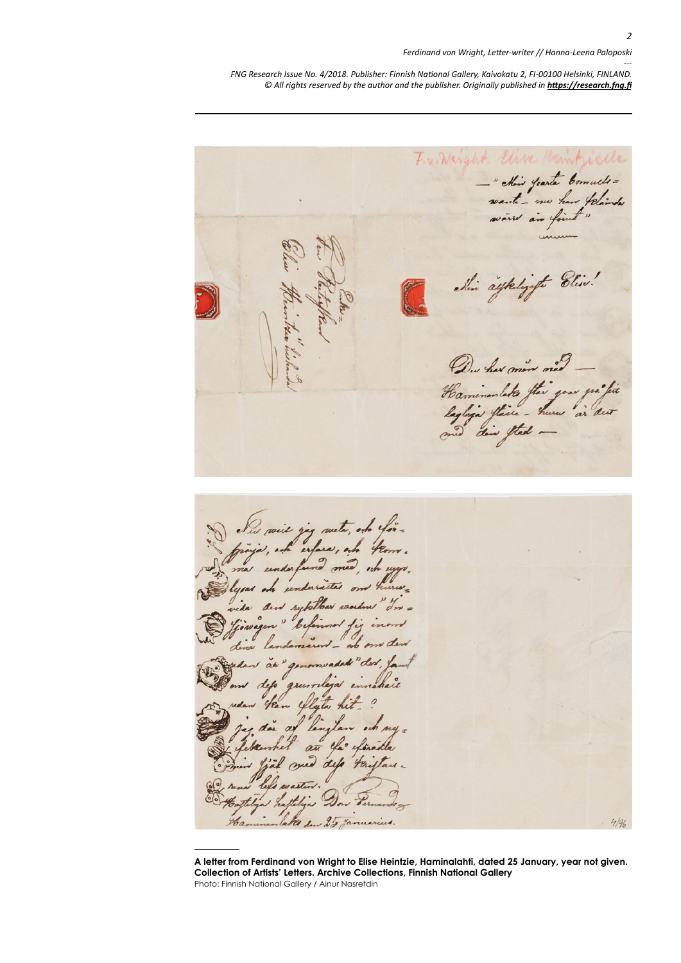#### *Ferdinand von Wright, Letter-writer // Hanna-Leena Paloposki*

*--- FNG Research Issue No. 4/2018. Publisher: Finnish National Gallery, Kaivokatu 2, FI-00100 Helsinki, FINLAND. © All rights reserved by the author and the publisher. Originally published in <https://research.fng.fi>*

Fre Warrent Elise " chin Joante Comult =<br>wante - mu har felande<br>ware are faint " chin aykeligifte Bliv! De her more ned Haminumlata flui your préfixe Sus soit jeg wete, of for-<br>projet, of experse, of from. ida den syklbar waden "In = fjourigen " beformed fig inour den av genomvaded "der , famt<br>m dep grunnlejd innehalt<br>den han flyte hit . ? ig dor af lingten och my=<br>lekembet an ele efinite Dow Vernandolakes den 25 Januaries  $462 4/96$ 

**A letter from Ferdinand von Wright to Elise Heintzie, Haminalahti, dated 25 January, year not given. Collection of Artists' Letters. Archive Collections, Finnish National Gallery** Photo: Finnish National Gallery / Ainur Nasretdin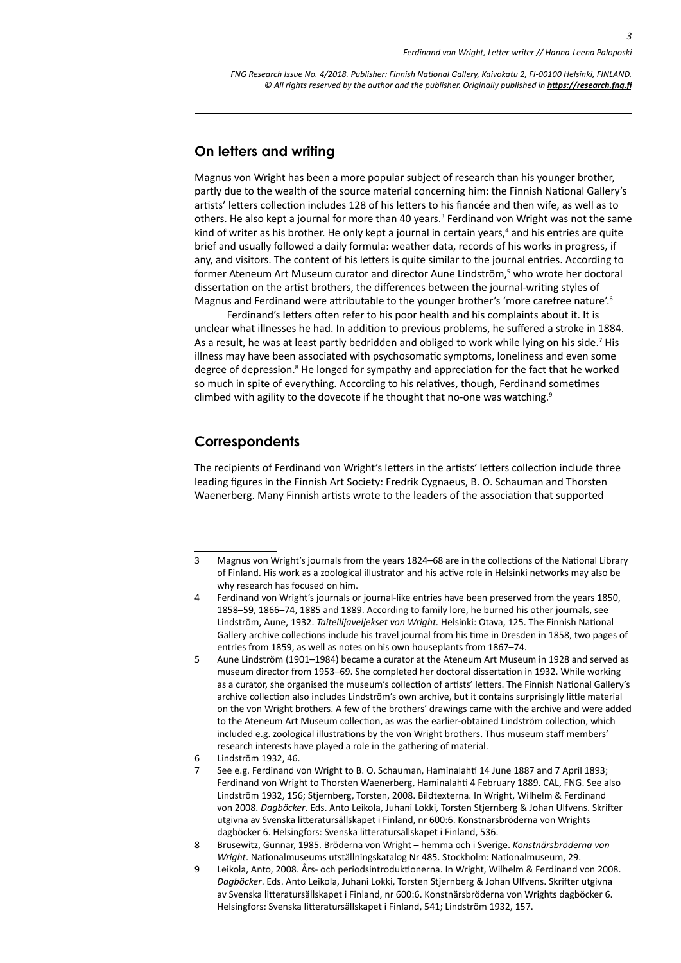*3*

*--- FNG Research Issue No. 4/2018. Publisher: Finnish National Gallery, Kaivokatu 2, FI-00100 Helsinki, FINLAND.* © All rights reserved by the author and the publisher. Originally published in **<https://research.fng.fi>** 

#### **On letters and writing**

Magnus von Wright has been a more popular subject of research than his younger brother, partly due to the wealth of the source material concerning him: the Finnish National Gallery's artists' letters collection includes 128 of his letters to his fiancée and then wife, as well as to others. He also kept a journal for more than 40 years.<sup>3</sup> Ferdinand von Wright was not the same kind of writer as his brother. He only kept a journal in certain years,<sup>4</sup> and his entries are quite brief and usually followed a daily formula: weather data, records of his works in progress, if any, and visitors. The content of his letters is quite similar to the journal entries. According to former Ateneum Art Museum curator and director Aune Lindström,<sup>5</sup> who wrote her doctoral dissertation on the artist brothers, the differences between the journal-writing styles of Magnus and Ferdinand were attributable to the younger brother's 'more carefree nature'.<sup>6</sup>

Ferdinand's letters often refer to his poor health and his complaints about it. It is unclear what illnesses he had. In addition to previous problems, he suffered a stroke in 1884. As a result, he was at least partly bedridden and obliged to work while lying on his side.<sup>7</sup> His illness may have been associated with psychosomatic symptoms, loneliness and even some degree of depression.<sup>8</sup> He longed for sympathy and appreciation for the fact that he worked so much in spite of everything. According to his relatives, though, Ferdinand sometimes climbed with agility to the dovecote if he thought that no-one was watching.<sup>9</sup>

#### **Correspondents**

The recipients of Ferdinand von Wright's letters in the artists' letters collection include three leading figures in the Finnish Art Society: Fredrik Cygnaeus, B. O. Schauman and Thorsten Waenerberg. Many Finnish artists wrote to the leaders of the association that supported

<sup>3</sup> Magnus von Wright's journals from the years 1824–68 are in the collections of the National Library of Finland. His work as a zoological illustrator and his active role in Helsinki networks may also be why research has focused on him.

<sup>4</sup> Ferdinand von Wright's journals or journal-like entries have been preserved from the years 1850, 1858–59, 1866–74, 1885 and 1889. According to family lore, he burned his other journals, see Lindström, Aune, 1932. *Taiteilijaveljekset von Wright.* Helsinki: Otava, 125. The Finnish National Gallery archive collections include his travel journal from his time in Dresden in 1858, two pages of entries from 1859, as well as notes on his own houseplants from 1867–74.

<sup>5</sup> Aune Lindström (1901–1984) became a curator at the Ateneum Art Museum in 1928 and served as museum director from 1953–69. She completed her doctoral dissertation in 1932. While working as a curator, she organised the museum's collection of artists' letters. The Finnish National Gallery's archive collection also includes Lindström's own archive, but it contains surprisingly little material on the von Wright brothers. A few of the brothers' drawings came with the archive and were added to the Ateneum Art Museum collection, as was the earlier-obtained Lindström collection, which included e.g. zoological illustrations by the von Wright brothers. Thus museum staff members' research interests have played a role in the gathering of material.

<sup>6</sup> Lindström 1932, 46.

<sup>7</sup> See e.g. Ferdinand von Wright to B. O. Schauman, Haminalahti 14 June 1887 and 7 April 1893; Ferdinand von Wright to Thorsten Waenerberg, Haminalahti 4 February 1889. CAL, FNG. See also Lindström 1932, 156; Stjernberg, Torsten, 2008. Bildtexterna. In Wright, Wilhelm & Ferdinand von 2008. *Dagböcker*. Eds. Anto Leikola, Juhani Lokki, Torsten Stjernberg & Johan Ulfvens. Skrifter utgivna av Svenska litteratursällskapet i Finland, nr 600:6. Konstnärsbröderna von Wrights dagböcker 6. Helsingfors: Svenska litteratursällskapet i Finland, 536.

<sup>8</sup> Brusewitz, Gunnar, 1985. Bröderna von Wright – hemma och i Sverige. *Konstnärsbröderna von Wright*. Nationalmuseums utställningskatalog Nr 485. Stockholm: Nationalmuseum, 29.

<sup>9</sup> Leikola, Anto, 2008. Års- och periodsintroduktionerna. In Wright, Wilhelm & Ferdinand von 2008. *Dagböcker*. Eds. Anto Leikola, Juhani Lokki, Torsten Stjernberg & Johan Ulfvens. Skrifter utgivna av Svenska litteratursällskapet i Finland, nr 600:6. Konstnärsbröderna von Wrights dagböcker 6. Helsingfors: Svenska litteratursällskapet i Finland, 541; Lindström 1932, 157.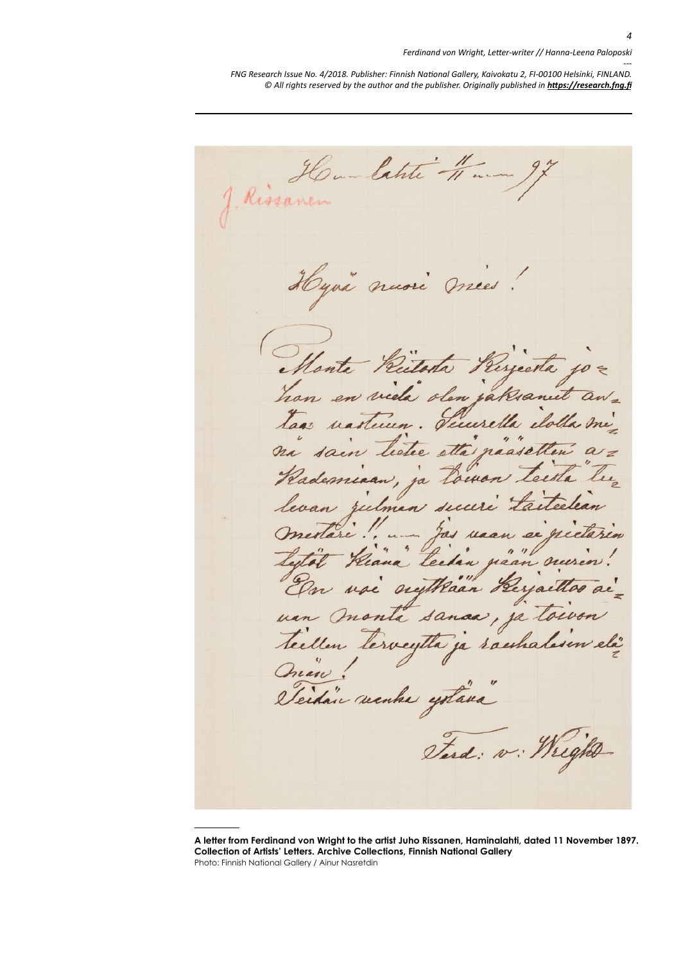Rissanen latite -11 m Hyvä nuori mies! Monta /2 han en viela olen jaksanut Tuurella taas nastein etta naasetten ja Loinon rdemiaan, levan zulman secu Jas vaan se pie " techin paan nur usi nythään Kerjaettos van monta sanaa, ja toivon teillen tervegtta ja raeshalesen elä Quan! cidain manha yotana" Terd: v: Wright

**A letter from Ferdinand von Wright to the artist Juho Rissanen, Haminalahti, dated 11 November 1897. Collection of Artists' Letters. Archive Collections, Finnish National Gallery** Photo: Finnish National Gallery / Ainur Nasretdin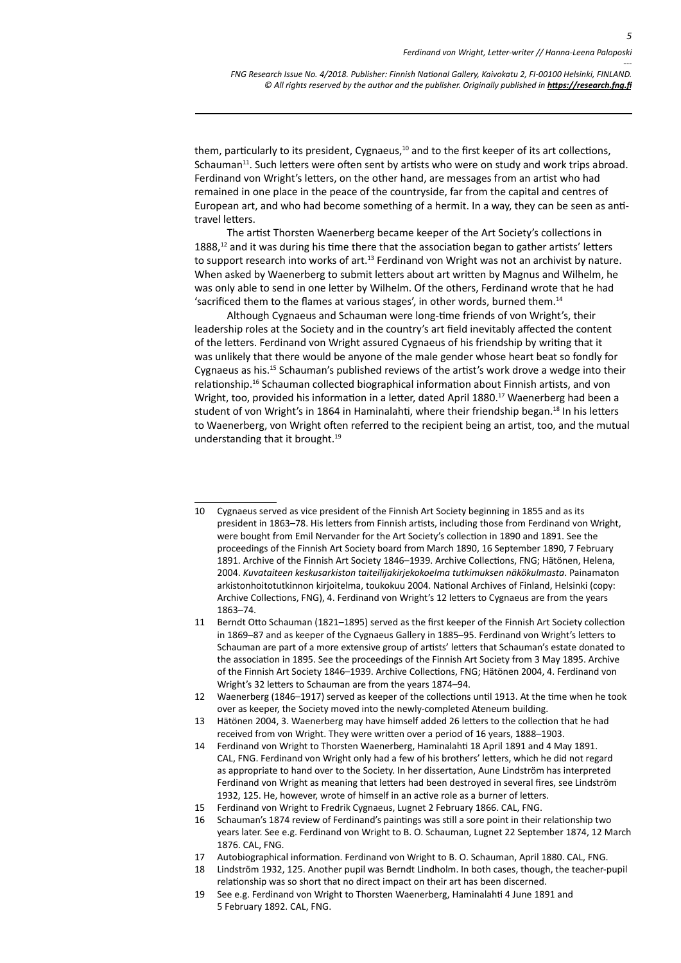them, particularly to its president, Cygnaeus,<sup>10</sup> and to the first keeper of its art collections, Schauman<sup>11</sup>. Such letters were often sent by artists who were on study and work trips abroad. Ferdinand von Wright's letters, on the other hand, are messages from an artist who had remained in one place in the peace of the countryside, far from the capital and centres of European art, and who had become something of a hermit. In a way, they can be seen as antitravel letters.

The artist Thorsten Waenerberg became keeper of the Art Society's collections in 1888,<sup>12</sup> and it was during his time there that the association began to gather artists' letters to support research into works of art.<sup>13</sup> Ferdinand von Wright was not an archivist by nature. When asked by Waenerberg to submit letters about art written by Magnus and Wilhelm, he was only able to send in one letter by Wilhelm. Of the others, Ferdinand wrote that he had 'sacrificed them to the flames at various stages', in other words, burned them.14

Although Cygnaeus and Schauman were long-time friends of von Wright's, their leadership roles at the Society and in the country's art field inevitably affected the content of the letters. Ferdinand von Wright assured Cygnaeus of his friendship by writing that it was unlikely that there would be anyone of the male gender whose heart beat so fondly for Cygnaeus as his.15 Schauman's published reviews of the artist's work drove a wedge into their relationship.16 Schauman collected biographical information about Finnish artists, and von Wright, too, provided his information in a letter, dated April 1880.<sup>17</sup> Waenerberg had been a student of von Wright's in 1864 in Haminalahti, where their friendship began.<sup>18</sup> In his letters to Waenerberg, von Wright often referred to the recipient being an artist, too, and the mutual understanding that it brought.19

<sup>10</sup> Cygnaeus served as vice president of the Finnish Art Society beginning in 1855 and as its president in 1863–78. His letters from Finnish artists, including those from Ferdinand von Wright, were bought from Emil Nervander for the Art Society's collection in 1890 and 1891. See the proceedings of the Finnish Art Society board from March 1890, 16 September 1890, 7 February 1891. Archive of the Finnish Art Society 1846–1939. Archive Collections, FNG; Hätönen, Helena, 2004. *Kuvataiteen keskusarkiston taiteilijakirjekokoelma tutkimuksen näkökulmasta*. Painamaton arkistonhoitotutkinnon kirjoitelma, toukokuu 2004. National Archives of Finland, Helsinki (copy: Archive Collections, FNG), 4. Ferdinand von Wright's 12 letters to Cygnaeus are from the years 1863–74.

<sup>11</sup> Berndt Otto Schauman (1821–1895) served as the first keeper of the Finnish Art Society collection in 1869–87 and as keeper of the Cygnaeus Gallery in 1885–95. Ferdinand von Wright's letters to Schauman are part of a more extensive group of artists' letters that Schauman's estate donated to the association in 1895. See the proceedings of the Finnish Art Society from 3 May 1895. Archive of the Finnish Art Society 1846–1939. Archive Collections, FNG; Hätönen 2004, 4. Ferdinand von Wright's 32 letters to Schauman are from the years 1874–94.

<sup>12</sup> Waenerberg (1846–1917) served as keeper of the collections until 1913. At the time when he took over as keeper, the Society moved into the newly-completed Ateneum building.

<sup>13</sup> Hätönen 2004, 3. Waenerberg may have himself added 26 letters to the collection that he had received from von Wright. They were written over a period of 16 years, 1888–1903.

<sup>14</sup> Ferdinand von Wright to Thorsten Waenerberg, Haminalahti 18 April 1891 and 4 May 1891. CAL, FNG. Ferdinand von Wright only had a few of his brothers' letters, which he did not regard as appropriate to hand over to the Society. In her dissertation, Aune Lindström has interpreted Ferdinand von Wright as meaning that letters had been destroyed in several fires, see Lindström 1932, 125. He, however, wrote of himself in an active role as a burner of letters.

<sup>15</sup> Ferdinand von Wright to Fredrik Cygnaeus, Lugnet 2 February 1866. CAL, FNG.

<sup>16</sup> Schauman's 1874 review of Ferdinand's paintings was still a sore point in their relationship two years later. See e.g. Ferdinand von Wright to B. O. Schauman, Lugnet 22 September 1874, 12 March 1876. CAL, FNG.

<sup>17</sup> Autobiographical information. Ferdinand von Wright to B. O. Schauman, April 1880. CAL, FNG.

<sup>18</sup> Lindström 1932, 125. Another pupil was Berndt Lindholm. In both cases, though, the teacher-pupil relationship was so short that no direct impact on their art has been discerned.

<sup>19</sup> See e.g. Ferdinand von Wright to Thorsten Waenerberg, Haminalahti 4 June 1891 and 5 February 1892. CAL, FNG.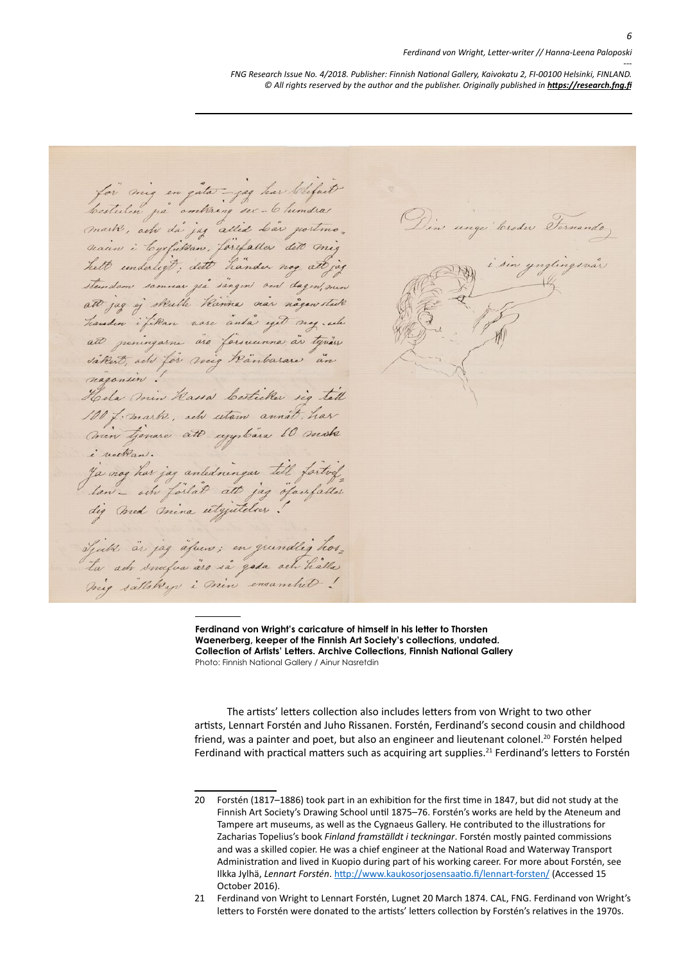#### *Ferdinand von Wright, Letter-writer // Hanna-Leena Paloposki*

*--- FNG Research Issue No. 4/2018. Publisher: Finnish National Gallery, Kaivokatu 2, FI-00100 Helsinki, FINLAND.* © All rights reserved by the author and the publisher. Originally published in **<https://research.fng.fi>** 

for mig en gater- jag har lehfuit bestulen på omkring ser- 6 hundra Din unger Croder Formando mark, acho da jag allid Lav portmo. seaun i Cyrfikan, førefaller dett mig sin ynglingsnår helt underligt, dett hander nog all jag steendam sommear yea singen om dagen, oun att jag og skulle kanna var någen stak handen i filan nore anda yet nog . wh att peningarne are farsucenna, av typiss sakest, ach for mig känbarare an nagonsin. Hela min Kassa Cestrika sig tell 100 f. mark, ach utam annat, har Crien tjenare att cygnbara 10 make i velkan. i vedlan.<br>Ja nog har jag anledningar till førtref. lan- och förlåd att jag öfacsfalles Spats as jag afun; en grundlig hos, Ta ach snusia àso sa gasa ach halla

**Ferdinand von Wright's caricature of himself in his letter to Thorsten Waenerberg, keeper of the Finnish Art Society's collections, undated. Collection of Artists' Letters. Archive Collections, Finnish National Gallery** Photo: Finnish National Gallery / Ainur Nasretdin

The artists' letters collection also includes letters from von Wright to two other artists, Lennart Forstén and Juho Rissanen. Forstén, Ferdinand's second cousin and childhood friend, was a painter and poet, but also an engineer and lieutenant colonel.<sup>20</sup> Forstén helped Ferdinand with practical matters such as acquiring art supplies.<sup>21</sup> Ferdinand's letters to Forstén

<sup>20</sup> Forstén (1817–1886) took part in an exhibition for the first time in 1847, but did not study at the Finnish Art Society's Drawing School until 1875–76. Forstén's works are held by the Ateneum and Tampere art museums, as well as the Cygnaeus Gallery. He contributed to the illustrations for Zacharias Topelius's book *Finland framställdt i teckningar*. Forstén mostly painted commissions and was a skilled copier. He was a chief engineer at the National Road and Waterway Transport Administration and lived in Kuopio during part of his working career. For more about Forstén, see Ilkka Jylhä, *Lennart Forstén*.<http://www.kaukosorjosensaatio.fi/lennart-forsten/>(Accessed 15 October 2016).

<sup>21</sup> Ferdinand von Wright to Lennart Forstén, Lugnet 20 March 1874. CAL, FNG. Ferdinand von Wright's letters to Forstén were donated to the artists' letters collection by Forstén's relatives in the 1970s.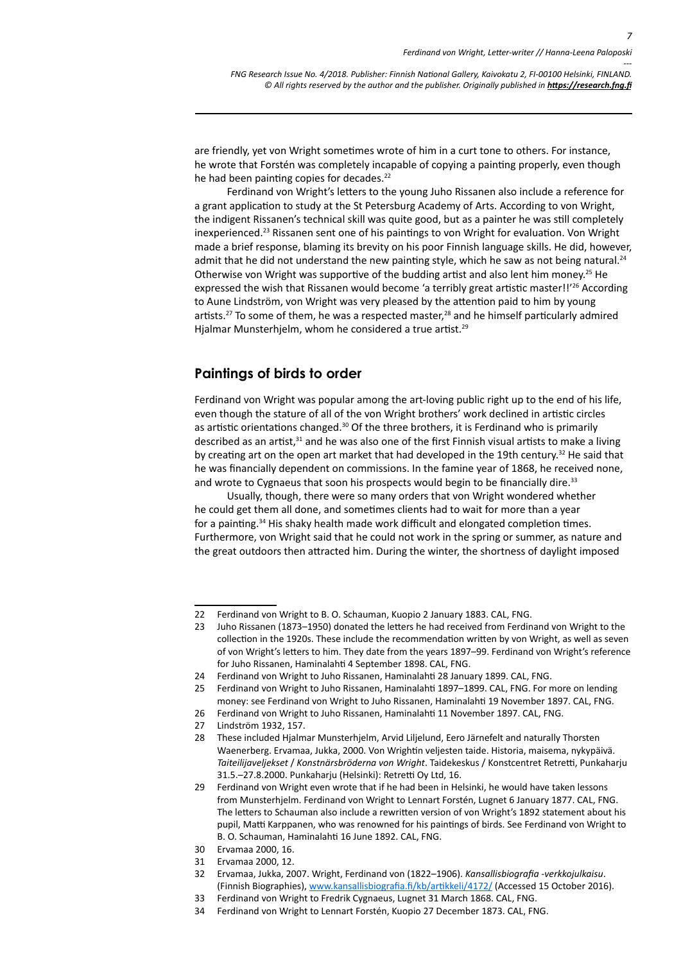*7*

*--- FNG Research Issue No. 4/2018. Publisher: Finnish National Gallery, Kaivokatu 2, FI-00100 Helsinki, FINLAND.* © All rights reserved by the author and the publisher. Originally published in **<https://research.fng.fi>** 

are friendly, yet von Wright sometimes wrote of him in a curt tone to others. For instance, he wrote that Forstén was completely incapable of copying a painting properly, even though he had been painting copies for decades.<sup>22</sup>

Ferdinand von Wright's letters to the young Juho Rissanen also include a reference for a grant application to study at the St Petersburg Academy of Arts. According to von Wright, the indigent Rissanen's technical skill was quite good, but as a painter he was still completely inexperienced.23 Rissanen sent one of his paintings to von Wright for evaluation. Von Wright made a brief response, blaming its brevity on his poor Finnish language skills. He did, however, admit that he did not understand the new painting style, which he saw as not being natural.<sup>24</sup> Otherwise von Wright was supportive of the budding artist and also lent him money.<sup>25</sup> He expressed the wish that Rissanen would become 'a terribly great artistic master!!'<sup>26</sup> According to Aune Lindström, von Wright was very pleased by the attention paid to him by young artists.<sup>27</sup> To some of them, he was a respected master,<sup>28</sup> and he himself particularly admired Hjalmar Munsterhjelm, whom he considered a true artist.29

#### **Paintings of birds to order**

Ferdinand von Wright was popular among the art-loving public right up to the end of his life, even though the stature of all of the von Wright brothers' work declined in artistic circles as artistic orientations changed.<sup>30</sup> Of the three brothers, it is Ferdinand who is primarily described as an artist, $31$  and he was also one of the first Finnish visual artists to make a living by creating art on the open art market that had developed in the 19th century.<sup>32</sup> He said that he was financially dependent on commissions. In the famine year of 1868, he received none, and wrote to Cygnaeus that soon his prospects would begin to be financially dire.<sup>33</sup>

Usually, though, there were so many orders that von Wright wondered whether he could get them all done, and sometimes clients had to wait for more than a year for a painting.34 His shaky health made work difficult and elongated completion times. Furthermore, von Wright said that he could not work in the spring or summer, as nature and the great outdoors then attracted him. During the winter, the shortness of daylight imposed

<sup>22</sup> Ferdinand von Wright to B. O. Schauman, Kuopio 2 January 1883. CAL, FNG.

<sup>23</sup> Juho Rissanen (1873–1950) donated the letters he had received from Ferdinand von Wright to the collection in the 1920s. These include the recommendation written by von Wright, as well as seven of von Wright's letters to him. They date from the years 1897–99. Ferdinand von Wright's reference for Juho Rissanen, Haminalahti 4 September 1898. CAL, FNG.

<sup>24</sup> Ferdinand von Wright to Juho Rissanen, Haminalahti 28 January 1899. CAL, FNG.

<sup>25</sup> Ferdinand von Wright to Juho Rissanen, Haminalahti 1897–1899. CAL, FNG. For more on lending money: see Ferdinand von Wright to Juho Rissanen, Haminalahti 19 November 1897. CAL, FNG.

<sup>26</sup> Ferdinand von Wright to Juho Rissanen, Haminalahti 11 November 1897. CAL, FNG.

<sup>27</sup> Lindström 1932, 157.

<sup>28</sup> These included Hjalmar Munsterhjelm, Arvid Liljelund, Eero Järnefelt and naturally Thorsten Waenerberg. Ervamaa, Jukka, 2000. Von Wrightin veljesten taide. Historia, maisema, nykypäivä. *Taiteilijaveljekset* / *Konstnärsbröderna von Wright*. Taidekeskus / Konstcentret Retretti, Punkaharju 31.5.–27.8.2000. Punkaharju (Helsinki): Retretti Oy Ltd, 16.

<sup>29</sup> Ferdinand von Wright even wrote that if he had been in Helsinki, he would have taken lessons from Munsterhjelm. Ferdinand von Wright to Lennart Forstén, Lugnet 6 January 1877. CAL, FNG. The letters to Schauman also include a rewritten version of von Wright's 1892 statement about his pupil, Matti Karppanen, who was renowned for his paintings of birds. See Ferdinand von Wright to B. O. Schauman, Haminalahti 16 June 1892. CAL, FNG.

<sup>30</sup> Ervamaa 2000, 16.

<sup>31</sup> Ervamaa 2000, 12.

<sup>32</sup> Ervamaa, Jukka, 2007. Wright, Ferdinand von (1822–1906). *Kansallisbiografia -verkkojulkaisu*. (Finnish Biographies), [www.kansallisbiografia.fi/kb/artikkeli/4172/](http://www.kansallisbiografia.fi/kb/artikkeli/4172/) (Accessed 15 October 2016).

<sup>33</sup> Ferdinand von Wright to Fredrik Cygnaeus, Lugnet 31 March 1868. CAL, FNG.

<sup>34</sup> Ferdinand von Wright to Lennart Forstén, Kuopio 27 December 1873. CAL, FNG.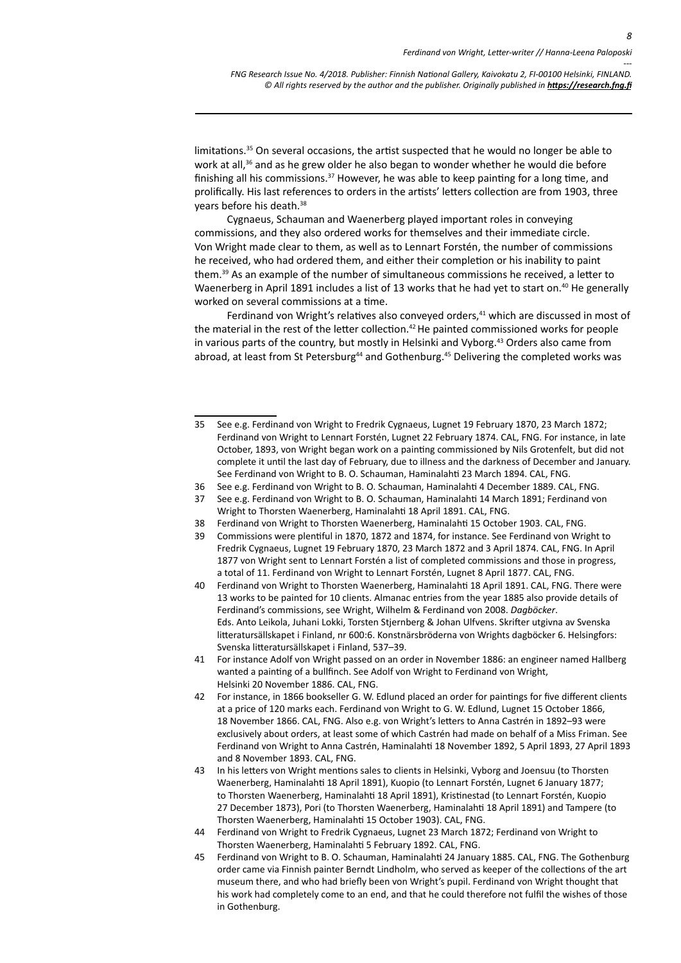limitations.<sup>35</sup> On several occasions, the artist suspected that he would no longer be able to work at all,<sup>36</sup> and as he grew older he also began to wonder whether he would die before finishing all his commissions. $37$  However, he was able to keep painting for a long time, and prolifically. His last references to orders in the artists' letters collection are from 1903, three years before his death.38

Cygnaeus, Schauman and Waenerberg played important roles in conveying commissions, and they also ordered works for themselves and their immediate circle. Von Wright made clear to them, as well as to Lennart Forstén, the number of commissions he received, who had ordered them, and either their completion or his inability to paint them.39 As an example of the number of simultaneous commissions he received, a letter to Waenerberg in April 1891 includes a list of 13 works that he had yet to start on.<sup>40</sup> He generally worked on several commissions at a time.

Ferdinand von Wright's relatives also conveyed orders, $41$  which are discussed in most of the material in the rest of the letter collection.<sup>42</sup> He painted commissioned works for people in various parts of the country, but mostly in Helsinki and Vyborg.<sup>43</sup> Orders also came from abroad, at least from St Petersburg<sup>44</sup> and Gothenburg.<sup>45</sup> Delivering the completed works was

- 36 See e.g. Ferdinand von Wright to B. O. Schauman, Haminalahti 4 December 1889. CAL, FNG.
- 37 See e.g. Ferdinand von Wright to B. O. Schauman, Haminalahti 14 March 1891; Ferdinand von Wright to Thorsten Waenerberg, Haminalahti 18 April 1891. CAL, FNG.
- 38 Ferdinand von Wright to Thorsten Waenerberg, Haminalahti 15 October 1903. CAL, FNG.
- 39 Commissions were plentiful in 1870, 1872 and 1874, for instance. See Ferdinand von Wright to Fredrik Cygnaeus, Lugnet 19 February 1870, 23 March 1872 and 3 April 1874. CAL, FNG. In April 1877 von Wright sent to Lennart Forstén a list of completed commissions and those in progress, a total of 11. Ferdinand von Wright to Lennart Forstén, Lugnet 8 April 1877. CAL, FNG.
- 40 Ferdinand von Wright to Thorsten Waenerberg, Haminalahti 18 April 1891. CAL, FNG. There were 13 works to be painted for 10 clients. Almanac entries from the year 1885 also provide details of Ferdinand's commissions, see Wright, Wilhelm & Ferdinand von 2008. *Dagböcker*. Eds. Anto Leikola, Juhani Lokki, Torsten Stjernberg & Johan Ulfvens. Skrifter utgivna av Svenska litteratursällskapet i Finland, nr 600:6. Konstnärsbröderna von Wrights dagböcker 6. Helsingfors: Svenska litteratursällskapet i Finland, 537–39.
- 41 For instance Adolf von Wright passed on an order in November 1886: an engineer named Hallberg wanted a painting of a bullfinch. See Adolf von Wright to Ferdinand von Wright, Helsinki 20 November 1886. CAL, FNG.
- 42 For instance, in 1866 bookseller G. W. Edlund placed an order for paintings for five different clients at a price of 120 marks each. Ferdinand von Wright to G. W. Edlund, Lugnet 15 October 1866, 18 November 1866. CAL, FNG. Also e.g. von Wright's letters to Anna Castrén in 1892–93 were exclusively about orders, at least some of which Castrén had made on behalf of a Miss Friman. See Ferdinand von Wright to Anna Castrén, Haminalahti 18 November 1892, 5 April 1893, 27 April 1893 and 8 November 1893. CAL, FNG.
- 43 In his letters von Wright mentions sales to clients in Helsinki, Vyborg and Joensuu (to Thorsten Waenerberg, Haminalahti 18 April 1891), Kuopio (to Lennart Forstén, Lugnet 6 January 1877; to Thorsten Waenerberg, Haminalahti 18 April 1891), Kristinestad (to Lennart Forstén, Kuopio 27 December 1873), Pori (to Thorsten Waenerberg, Haminalahti 18 April 1891) and Tampere (to Thorsten Waenerberg, Haminalahti 15 October 1903). CAL, FNG.
- 44 Ferdinand von Wright to Fredrik Cygnaeus, Lugnet 23 March 1872; Ferdinand von Wright to Thorsten Waenerberg, Haminalahti 5 February 1892. CAL, FNG.
- 45 Ferdinand von Wright to B. O. Schauman, Haminalahti 24 January 1885. CAL, FNG. The Gothenburg order came via Finnish painter Berndt Lindholm, who served as keeper of the collections of the art museum there, and who had briefly been von Wright's pupil. Ferdinand von Wright thought that his work had completely come to an end, and that he could therefore not fulfil the wishes of those in Gothenburg.

<sup>35</sup> See e.g. Ferdinand von Wright to Fredrik Cygnaeus, Lugnet 19 February 1870, 23 March 1872; Ferdinand von Wright to Lennart Forstén, Lugnet 22 February 1874. CAL, FNG. For instance, in late October, 1893, von Wright began work on a painting commissioned by Nils Grotenfelt, but did not complete it until the last day of February, due to illness and the darkness of December and January. See Ferdinand von Wright to B. O. Schauman, Haminalahti 23 March 1894. CAL, FNG.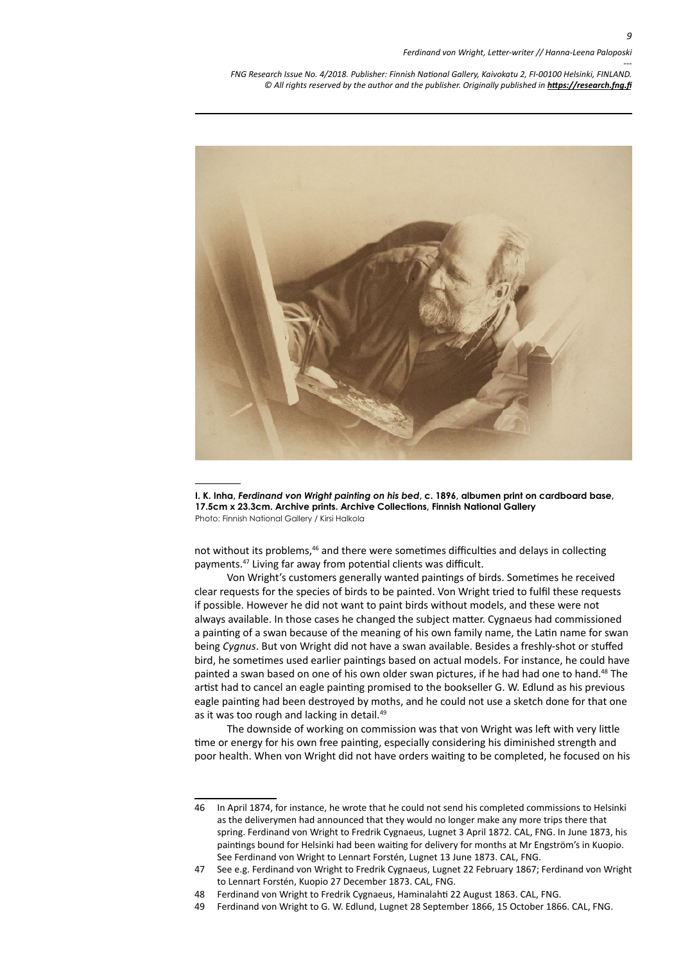

**I. K. Inha,** *Ferdinand von Wright painting on his bed***, c. 1896, albumen print on cardboard base, 17.5cm x 23.3cm. Archive prints. Archive Collections, Finnish National Gallery** Photo: Finnish National Gallery / Kirsi Halkola

not without its problems,<sup>46</sup> and there were sometimes difficulties and delays in collecting payments.47 Living far away from potential clients was difficult.

Von Wright's customers generally wanted paintings of birds. Sometimes he received clear requests for the species of birds to be painted. Von Wright tried to fulfil these requests if possible. However he did not want to paint birds without models, and these were not always available. In those cases he changed the subject matter. Cygnaeus had commissioned a painting of a swan because of the meaning of his own family name, the Latin name for swan being *Cygnus*. But von Wright did not have a swan available. Besides a freshly-shot or stuffed bird, he sometimes used earlier paintings based on actual models. For instance, he could have painted a swan based on one of his own older swan pictures, if he had had one to hand.48 The artist had to cancel an eagle painting promised to the bookseller G. W. Edlund as his previous eagle painting had been destroyed by moths, and he could not use a sketch done for that one as it was too rough and lacking in detail.<sup>49</sup>

The downside of working on commission was that von Wright was left with very little time or energy for his own free painting, especially considering his diminished strength and poor health. When von Wright did not have orders waiting to be completed, he focused on his

<sup>46</sup> In April 1874, for instance, he wrote that he could not send his completed commissions to Helsinki as the deliverymen had announced that they would no longer make any more trips there that spring. Ferdinand von Wright to Fredrik Cygnaeus, Lugnet 3 April 1872. CAL, FNG. In June 1873, his paintings bound for Helsinki had been waiting for delivery for months at Mr Engström's in Kuopio. See Ferdinand von Wright to Lennart Forstén, Lugnet 13 June 1873. CAL, FNG.

<sup>47</sup> See e.g. Ferdinand von Wright to Fredrik Cygnaeus, Lugnet 22 February 1867; Ferdinand von Wright to Lennart Forstén, Kuopio 27 December 1873. CAL, FNG.

<sup>48</sup> Ferdinand von Wright to Fredrik Cygnaeus, Haminalahti 22 August 1863. CAL, FNG.

<sup>49</sup> Ferdinand von Wright to G. W. Edlund, Lugnet 28 September 1866, 15 October 1866. CAL, FNG.